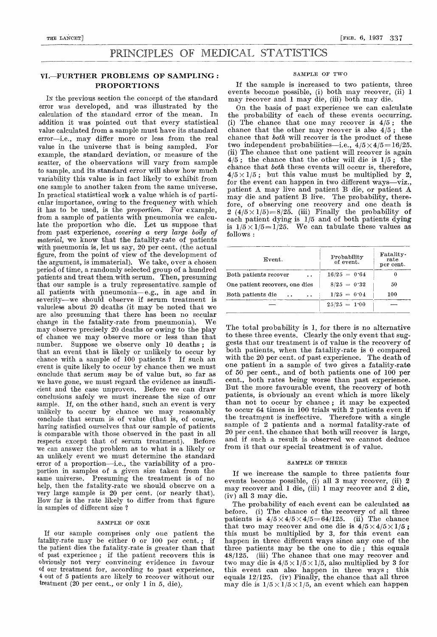# PRINCIPLES OF MEDICAL STATISTICS

## VI.—FURTHER PROBLEMS OF SAMPLING : PROPORTIONS

IN the previous section the concept of the standard error was developed, and was illustrated by the calculation of the standard error of the mean. addition it was pointed out that every statistical value calculated from a sample must have its standard error-i.e., may differ more or less from the real<br>value in the universe that is being sampled. For value in the universe that is being sampled. example, the standard deviation, or measure of the scatter, of the observations will vary from sample to sample, and its standard error will show how much variability this value is in fact likely to exhibit from one sample to another taken from the same universe. In practical statistical work a value which is of particular importance, owing to the frequency with which it has to be used, is the proportion. For example, from a sample of patients with pneumonia we calculate the proportion who die. Let us suppose that from past experience, covering a very large body of material, we know that the fatality-rate of patients with pneumonia is, let us say, 20 per cent. (the actual figure, from the point of view of the development of the argument, is immaterial). We take, over a chosen period of time, a randomly selected group of a hundred patients and treat them.with serum. Then, presuming that our sample is a truly representative, sample of all patients with pneumonia-e.g., in age and in severity-we should observe if serum treatment is valueless about 20 deaths (it may be noted that we are also presuming that there has been no secular change in the fatality-rate from pneumonia). We change in the fatality-rate from pneumonia). may observe precisely 20 deaths or owing to the play of chance we may observe more or less than that number. Suppose we observe only 10 deaths ; is that an event that is likely or unlikely to occur by chance with a sample of 100 patients ? If such an event is quite likely to occur by chance then we must conclude that serum may be of value but, so far as we have gone, we must regard the evidence as insufficient and the case unproven. Before we can draw conclusions safely we must increase the size of our sample. If, on the other hand, such an event is very unlikely to occur by chance we may reasonably conclude that serum is of value (that is, of course, having satisfied ourselves that our sample of patients is comparable with those observed in the past in all respects except that of serum treatment). Before respects except that of serum treatment). we can answer the problem as to what is a likely or an unlikely event we must determine the standard error of a proportion-i.e., the variability of a proportion in samples of a given size taken from the same universe. Presuming the treatment is of no help, then the fatality-rate we should observe on a very large sample is  $20$  per cent. (or nearly that). How far is the rate likely to differ from that figure in samples of different size ?

### SAMPLE OF ONE

If our sample comprises only one patient the fatality-rate may be either 0 or 100 per cent.; if the patient dies the fatality-rate is greater than that of past experience ; if the patient recovers this is obviously not very convincing evidence in favour 4 out of 5 patients are likely to recover without our treatment (20 per cent., or only 1 in 5, die).

#### SAMPLE OF TWO

If the sample is increased to two patients, three events become possible, (i) both may recover, (ii) 1 may recover and 1 may die, (iii) both may die.

On the basis of past experience we can calculate the probability of each of these events occurring. (i) The chance that one may recover is 4/5 ; the chance that the other may recover is also 4/5 ; the chance that both will recover is the product of these two independent probabilities—i.e.,  $4/5 \times 4/5 = 16/25$ . (ii) The chance that one patient will recover is again  $4/5$ ; the chance that the other will die is  $1/5$ ; the chance that both these events will occur is, therefore,  $4/5 \times 1/5$ ; but this value must be multiplied by 2, for the event can happen in two different ways-viz., patient A may live and patient B die, or patient A may die and patient B live. The probability, therefore, of observing one recovery and one death is  $2 \ \ (4/5 \times 1/5) = 8/25. \ \ (iii) \ \ \text{Finally} \ \ \text{the \ probability \ of}$ each patient dying is  $1/5$  and of both patients dying is  $1/\sqrt{5} \times 1/\sqrt{5} = 1/25$ . We can tabulate these values as follows :

| Event.                                                 | Probability<br>of event. | Fatality-<br>rate<br>per cent. |  |
|--------------------------------------------------------|--------------------------|--------------------------------|--|
| Both patients recover<br>$\ddot{\phantom{a}}$          | $16/25 = 0.64$           |                                |  |
| $\mathop{\rm One}\nolimits$ patient recovers, one dies | $8/25 = 0.32$            | 50                             |  |
| Both patients die<br>$\ddot{\phantom{a}}$              | $1/25 = 0.04$            | 100                            |  |
|                                                        | $25/25 = 1.00$           |                                |  |
|                                                        |                          |                                |  |

The total probability is 1, for there is no alternative to these three events. Clearly the only event that suggests that our treatment is of value is the recovery of both patients, when the fatality-rate is 0 compared with the 20 per cent. of past experience. The death of one patient in a sample of two gives a fatality-rate of 50 per cent., and of both patients one of 100 per cent., both rates being worse than past experience. But the more favourable event, the recovery of both patients, is obviously an event which is more likely than not to occur by chance ; it may be expected to occur 64 times in 100 trials with 2 patients even if the treatment is ineffective. Therefore with a single sample of 2 patients and a normal fatality-rate of 20 per cent. the chance that both will recover is large, and if such a result is observed we cannot deduce from it that our special treatment is of value.

#### SAMPLE OF THREE

If we increase the sample to three patients four events become possible, (i) all 3 may recover, (ii) 2 may recover and 1 die, (iii) 1 may recover and 2 die, (iv) all 3 may die.

The probability of each event can be calculated as before. (i) The chance of the recovery of all three (i) The chance of the recovery of all three patients is  $4/5 \times 4/5 \times 4/5 = 64/125$ . (ii) The chance that two may recover and one die is  $4/5 \times 4/5 \times 1/5$ ; this must be multiplied by 3, for this event can happen in three different ways since any one of the three patients may be the one to die ; this equals 48/125. (iii) The chance that one may recover and two may die is  $4/5 \times 1/5 \times 1/5$ , also multiplied by 3 for this event can also hannen in three ways: this this event can also happen in three ways; equals 12/125. (iv) Finally, the chance that all three may die is  $1/5 \times 1/5 \times 1/5$ , an event which can happen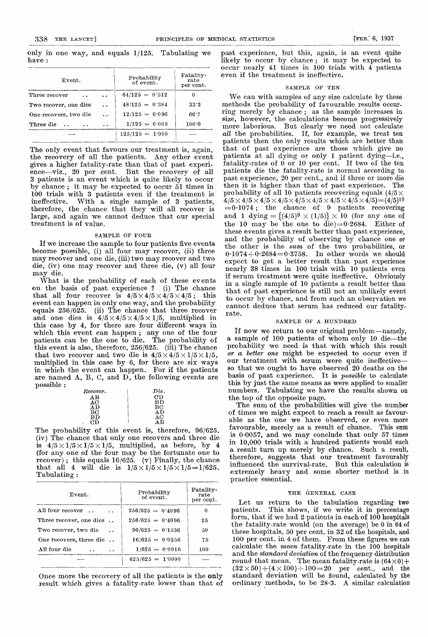only in one way, and equals 1/125. Tabulating we have :

| Event.                |                      | Probability<br>of event. | Fatality-<br>$_{\rm rate}$<br>per cent. |  |
|-----------------------|----------------------|--------------------------|-----------------------------------------|--|
| Three recover         | . .                  | $64/125 = 0.512$         | 0                                       |  |
| Two recover, one dies | $\ddot{\phantom{a}}$ | $48/125 = 0.384$         | 33.3                                    |  |
| One recovers, two die | $\ddot{\phantom{a}}$ | $12/125 = 0.096$         | 66.7                                    |  |
| Three die             | . .                  | $1/125 = 0.008$          | 100.0                                   |  |
|                       |                      | $125/125 = 1000$         |                                         |  |

The only event that favours our treatment is, again, the recovery of all the patients. Any other event gives a higher fatality-rate than that of past experience-viz., 20 per cent. But the recovery of all 3 patients is an event which is quite likely to occur by chance ; it may be expected to occur 51 times in 100 trials with 3 patients even if the treatment is ineffective. With a single sample of 3 patients, With a single sample of  $3$  patients, therefore, the chance that they will all recover is large, and again we cannot deduce that our special treatment is of value.

#### SAMPLE OF FOUR

If we increase the sample to four patients five events become possible, (i) all four may recover, (ii) three may recover and one die, (iii) two may recover and two die, (iv) one may recover and three die, (v) all four may die.

What is the probability of each of these events on the basis of past experience ? (i) The chance<br>that all four recover is  $4/5 \times 4/5 \times 4/5 \times 4/5$ : this that all four recover is  $4/5 \times 4/5 \times 4/5 \times 4/5$ ; event can happen in only one way, and the probability equals 256/625. (ii) The chance that three recover and one dies is  $4/5 \times 4/5 \times 4/5 \times 1/5$ , multiplied in this case by 4, for there are four different ways in which this event can happen ; any one of the four patients can be the one to die. The probability of this event is also, therefore,  $256/625$ . (iii) The chance that two recover and two die is  $4/5 \times 4/5 \times 1/5 \times 1/5$ , multiplied in this case by 6, for there are six ways<br>in which the event can happen. For if the patients are named A, B, C, and D, the following events are possible :

| possinie: |             |             |
|-----------|-------------|-------------|
|           | Recover.    | Die.        |
|           | AВ          | CD          |
|           | AС          | ВD          |
|           | A D         | $_{\rm BC}$ |
|           | $_{\rm BC}$ | A D         |
|           | $_{\rm BD}$ | AС          |
|           | חר<br>٠     | $\bf AB$    |
|           |             |             |

The probability of this event is, therefore, 96/625. (iv) The chance that only one recovers and three die is  $4/5 \times 1/5 \times 1/5 \times 1/5$ , multiplied, as before, by 4 (for any one of the four may be the fortunate one to  $\text{recover}$ ); this equals 16/625. (v) Finally, the chance that all 4 will die is  $1/5 \times 1/5 \times 1/5 \times 1/5 = 1/625$ . Tabulating :

| Event.                                                       | Probability<br>of event. | Fatality-<br>$_{\rm rate}$<br>per cent. |
|--------------------------------------------------------------|--------------------------|-----------------------------------------|
| All four recover<br>$\ddot{\phantom{a}}$                     | $256/625 = 0.4096$       | $\Omega$                                |
| Three recover, one dies                                      | $256/625 = 0.4096$       | 25                                      |
| Two recover, two die                                         | $96/625 = 0.1536$        | 50                                      |
| One recovers, three die                                      | $16/625 = 0.0256$        | 75                                      |
| All four die<br>$\ddot{\phantom{a}}$<br>$\ddot{\phantom{1}}$ | $1/625 = 0.0016$         | 100                                     |
|                                                              | $625/625 = 1.0000$       |                                         |

Once more the recovery of all the patients is the only result which gives a fatality-rate lower than that of

past experience, but this, again, is an event quite likely to occur by chance ; it may be expected to occur nearly 41 times in 100 trials with 4 patients even if the treatment is ineffective.

#### SAMPLE OF TEN

We can with samples of any size calculate by these methods the probability of favourable results occurring merely by chance; as the sample increases in size, however, the calculations become progressively more laborious. But clearly we need not calculate all the probabilities. If, for example, we treat ten patients then the only results which are better than that of past experience are those which give no patients at all dying or only 1 patient dying-i.e., fatality-rates of 0 or 10 per cent. If two of the ten patients die the fatality-rate is normal according to past experience, 20 per cent., and if three or more die then it is higher than that of past experience. The probability of all 10 patients recovering equals  $(4/5 \times$  $4/5$   $\times$   $4/5$   $\times$   $4/5$   $\times$   $4/5$   $\times$   $4/5$   $\times$   $4/5$   $\times$   $4/5$   $\times$   $4/5$   $\times$   $\bullet$   $\!/5$   $\!10$  $=0.1074$ ; the chance of 9 patients recovering and 1 dying =  $\{(4/5)^9 \times (1/5)\} \times 10$  (for any one of the 10 may be the one to die)= $0.2684$ . Either of these events gives a result better than past experience, and the probability of observing by chance one or the other is the sum of the two probabilities, or  $0.1074+0.2684=0.3758.$  In other words we should expect to get a better result than past experience nearly 38 times in 100 trials with 10 patients even<br>if serum treatment were quite ineffective. Obviously in a single sample of 10 patients a result better than that of past experience is still not an unlikely event to occur by chance, and from such an observation we cannot deduce that serum has reduced our fatalityrate.

## SAMPLE OF A HUNDRED

If now we return to our original problem-namely, a sample of 100 patients of whom only 10 die-the probability we need is that with which this result or a better one might be expected to occur even if our treatment with serum were quite ineffectiveso that we ought to have observed 20 deaths on the basis of past experience. It is possible to calculate this by just the same means as were applied to smaller numbers. Tabulating we have the results shown on the top of the opposite page.

The sum of the probabilities will give the number of times we might expect to reach a result as favourable as the one we have observed, or even more favourable, merely as a result of chance. This sum is 0.0057, and we may conclude that only 57 times in 10,000 trials with a hundred patients would such a result turn up merely by chance. Such a result, therefore, suggests that our treatment favourably influenced the survival-rate. But this calculation is extremely heavy and some shorter method is in practice essential.

#### THE GENERAL CASE

Let us return to the tabulation regarding two<br>patients. This shows, if we write it in percentage This shows, if we write it in percentage form, that if we had 2 patients in each of  $10\bar{0}$  hospitals the fatality-rate would (on the average) be 0 in 64 of these hospitals, 50 per cent. in 32 of the hospitals, and 100 per cent. in 4 of them. From these figures we can calculate the mean fatality-rate in the 100 hospitals and the standard deviation of the frequency distribution round that mean. The mean fatality-rate is  $(64\times0)+$  $(32\times50)+(4\times100) \div 100=20$  per cent., and the standard deviation will be found, calculated by the ordinary methods, to be 28-3. A similar calculation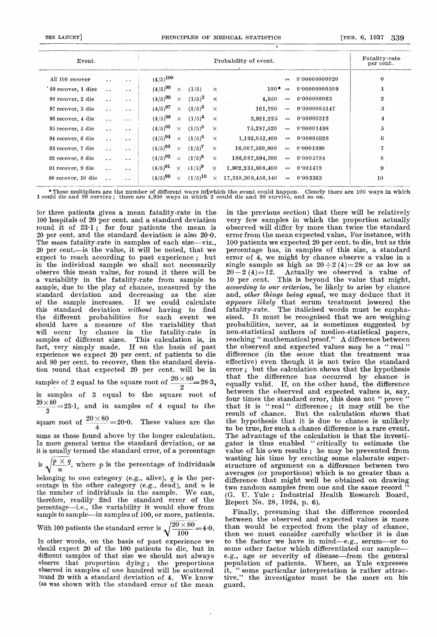| Event.                |                      |                      | Probability of event. |          |              |          |                    | Fatality-rate<br>per cent. |                |                |
|-----------------------|----------------------|----------------------|-----------------------|----------|--------------|----------|--------------------|----------------------------|----------------|----------------|
| All 100 recover       | $\ddot{\phantom{a}}$ | $\ddot{\phantom{0}}$ | $(4/5)^{100}$         |          |              |          |                    | $=$                        | 0.000000000020 | $\bf{0}$       |
| 99 recover, 1 dies    | $\ddot{\phantom{a}}$ | $\ddot{\phantom{0}}$ | $(4/5)^{99}$          | $\times$ | (1/5)        | $\times$ | $100*$             | $\sim$                     | 0.00000000009  | 1              |
| 98 recover, 2 die     | $\ddot{\phantom{a}}$ | $\ddot{\phantom{a}}$ | $(4/5)^{98}$          | $\times$ | $(1/5)^2$    | $\times$ | 4.950              | $=$                        | 0.000000063    | $\overline{2}$ |
| $97$ recover, 3 die   | $\ddot{\phantom{0}}$ | $\ddot{\phantom{a}}$ | $(4/5)^{97}$          | $\times$ | $(1/5)^3$    | $\times$ | 161,700            | $\equiv$                   | 0.00000005147  | $\cdot$ 3      |
| $96$ recover, $4$ die | $\ddot{\phantom{a}}$ | $\ddot{\phantom{1}}$ | $(4/5)^{96}$          | $\times$ | $(1/5)^4$    | $\times$ | 3,921,225          | $\equiv$                   | 0.00000312     | 4              |
| 95 recover, 5 die     | $\sim$ $\sim$        | $\ddot{\phantom{1}}$ | $(4/5)^{95}$          | $\times$ | $(1/5)^5$    | $\times$ | 75,287,520         | $=$                        | 0.00001498     | 5              |
| $94$ recover, 6 die   | $\ddot{\phantom{a}}$ | $\cdot$ $\cdot$      | $(4/5)^{94}$          | $\times$ | $(1/5)^6$    | $\times$ | 1,192,052,400      | $\equiv$                   | 0.00005928     | 6              |
| 93 recover, 7 die     | $\ddot{\phantom{0}}$ | $\ddot{\phantom{1}}$ | $(4/5)^{93}$          | $\times$ | $(1/5)^7$    | $\times$ | 16,007,560,800     | $\equiv$                   | 0.0001990      | 7              |
| $92$ recover, 8 die   | $\ddot{\phantom{0}}$ | $\ddot{\phantom{0}}$ | $(4/5)^{92}$          | $\times$ | $(1/5)^8$    | $\times$ | 186,087,894.300    | $=$                        | 0.0005784      | 8              |
| 91 recover, 9 die     | $\ddot{\phantom{a}}$ | $\ddot{\phantom{1}}$ | $(4/5)^{91}$          | $\times$ | $(1/5)^9$    | $\times$ | 1,902,231,808,400  | $=$                        | 0.001478       | 9              |
| 90 recover, 10 die    | $\ddot{\phantom{0}}$ | $\ddot{\phantom{1}}$ | $(4/5)^{90}$          | $\times$ | $(1/5)^{10}$ | $\times$ | 17,310,309,456,440 | $=$                        | 0.003363       | 10             |

\* These multipliers are the number of different ways inwhich the event could happen. Clearly there are 100 ways in which 1 could die and 99 survive ; there are 4,950 ways in which 2 could die and 98 survive, and so on.

for three patients gives a mean fatality-rate in the 100 hospitals of 20 per cent. and a standard deviation round it of 23-1 ; for four patients the mean is 20 per cent. and the standard deviation is also 20-0. The mean fatality-rate in samples of each size-viz., 20 per cent.-is the value, it will be noted, that we expect to reach according to past experience ; but in the individual sample we shall not necessarily observe this mean value, for round it there will be a variability in the fatality-rate from sample to sample, due to the play of chance, measured by the standard deviation and decreasing as the size of the sample increases. If we could calculate this standard deviation *without* having to find<br>the different probabilities for each event we the different probabilities for each event should have a measure of the variability that will occur by chance in the fatality-rate in samples of different sizes. This calculation is, in fact, very simply made. If on the basis of past experience we expect 20 per cent. of patients to die and 80 per cent. to recover, then the standard deviation round that expected 20 per cent. will be in samples of 2 equal to the square root of  $\frac{20 \times 80}{2} = 28.3$ , in samples of 3 equal to the square root of

 $\frac{20 \times 80}{3} = 23.1$ , and in samples of 4 equal to the

square root of  $\frac{20 \times 80}{4} = 20.0$ . These values are the

same as those found above by the longer calculation. In more general terms the standard deviation, or as it is usually termed the standard error, of a percentage

is  $\sqrt{\frac{p \times q}{n}}$ , where p is the percentage of individuals

belonging to one category (e.g., alive),  $q$  is the percentage in the other category (e.g., dead), and  $n$  is the number of individuals in the sample. We can, therefore, readily find the standard error of the percentage-i.e., the variability it would show from sample to sample-in samples of 100, or more, patients.

With 100 patients the standard error is  $\sqrt{\frac{20 \times 80}{100}}$  = 4.0.

In other words, on the basis of past experience we should expect 20 of the 100 patients to die, but in different samples of that size we should not always different samples of that proportion dying; the proportions observed in samples of one hundred will be scattered round 20 with a standard deviation of 4. We know (as was shown with the standard error of the mean

in the previous section) that there will be relatively very few samples in which the proportion actually observed will differ by more than twice the standard error from the mean expected value. For instance, with 100 patients we expected 20 per cent. to die, but as this percentage has, in samples of this size, a standard error of 4, we might by chance observe a value in a single sample as high as  $20+2(4)=28$  or as low as  $20-2$  (4)=12. Actually we observed a value of 10 per cent. This is beyond the value that might, according to our criterion, be likely to arise by chance and, *other things being equal*, we may deduce that it  $appears$  likely that serum treatment lowered the fatality-rate. The italicised words must be emphasised. It must be recognised that we are weighing probabilities, never, as is sometimes suggested by probabilities, never, as is sometimes suggested by non-statistical authors of medico-statistical papers, reaching " mathematical proof." A difference between the observed and expected values may be a "real" difference (in the sense that the treatment was effective) even though it is not twice the standard error; but the calculation shows that the hypothesis that the difference has occurred by chance is equally valid. If, on the other hand, the difference between the observed and expected values is, say, four times the standard error, this does not " prove " that it is " real " difference ; it may still be the result of chance. But the calculation shows that the hypothesis that it is due to chance is unlikely to be true, for such a chance difference is a rare event. The advantage of the calculation is that the investigator is thus enabled " critically to estimate the value of his own results ; he may be prevented from wasting his time by erecting some elaborate superstructure of argument on a difference between two averages (or proportions) which is no greater than a difference that might well be obtained on drawing two random samples from one and the same record (G. U. Yule : Industrial Health Research Board, Report No. 28, 1924, p. 6).

Finally, presuming that the difference recorded between the observed and expected values is more than would be expected from the play of chance, then we must consider carefully whether it is due to the factor we have in mind-e.g., serum-or to some other factor which differentiated our samplee.g., age or severity of disease-from the general population of patients. Where, as Yule expresses it, " some particular interpretation is rather attractive," the investigator must be the more on his guard.